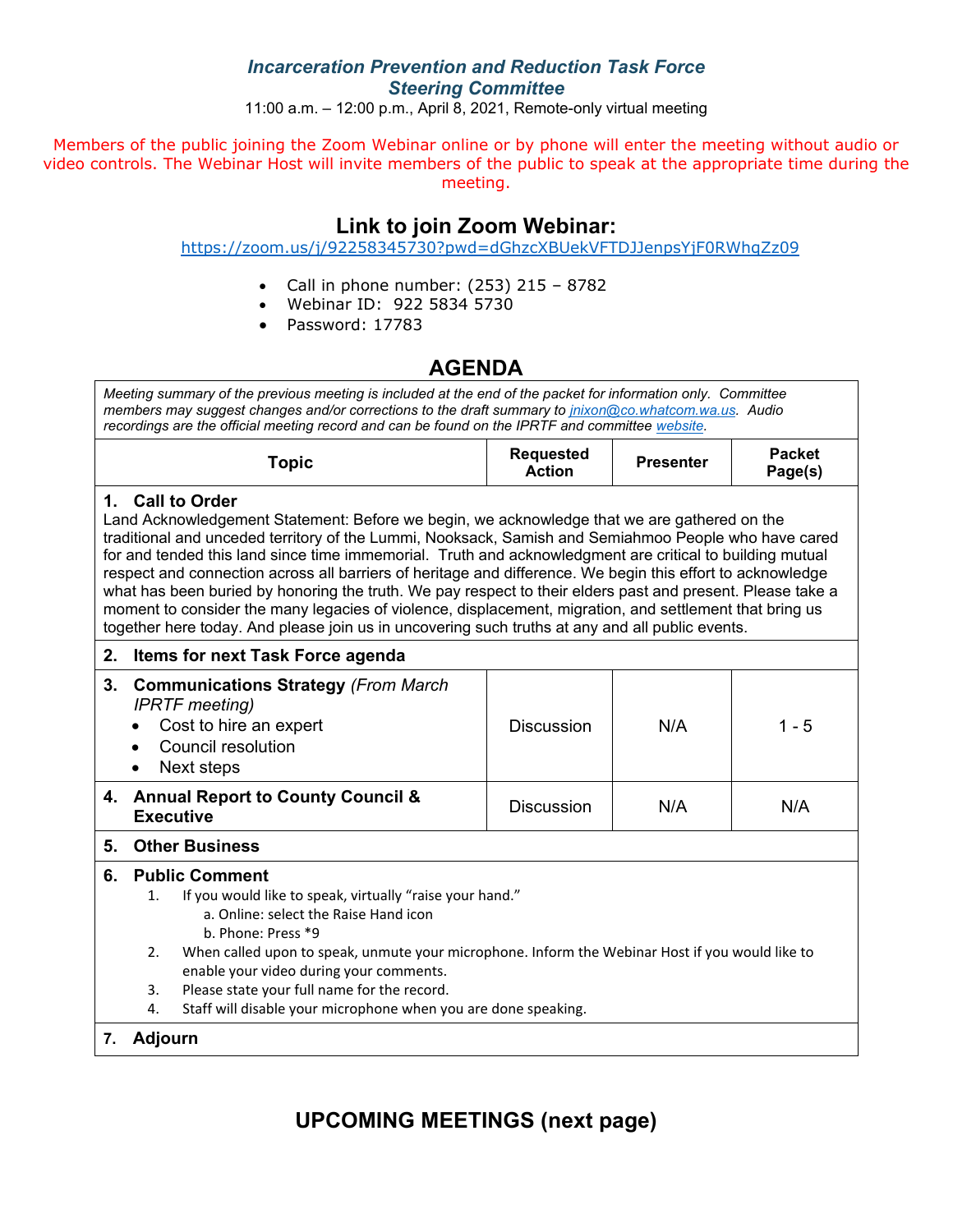### *Incarceration Prevention and Reduction Task Force Steering Committee*

11:00 a.m. – 12:00 p.m., April 8, 2021, Remote-only virtual meeting

Members of the public joining the Zoom Webinar online or by phone will enter the meeting without audio or video controls. The Webinar Host will invite members of the public to speak at the appropriate time during the meeting.

## **Link to join Zoom Webinar:**

<https://zoom.us/j/92258345730?pwd=dGhzcXBUekVFTDJJenpsYjF0RWhqZz09>

- Call in phone number:  $(253)$  215 8782
- Webinar ID: 922 5834 5730
- Password: 17783

## **AGENDA**

*Meeting summary of the previous meeting is included at the end of the packet for information only. Committee members may suggest changes and/or corrections to the draft summary to [jnixon@co.whatcom.wa.us.](mailto:jnixon@co.whatcom.wa.us) Audio recordings are the official meeting record and can be found on the IPRTF and committe[e website.](http://www.co.whatcom.wa.us/2052/Incarceration-Prevention-and-Reduction-T)*

| opic | <b>Requested</b><br>Action | <b>Presenter</b> | Packet<br>Page(s) |
|------|----------------------------|------------------|-------------------|
|------|----------------------------|------------------|-------------------|

### **1. Call to Order**

Land Acknowledgement Statement: Before we begin, we acknowledge that we are gathered on the traditional and unceded territory of the Lummi, Nooksack, Samish and Semiahmoo People who have cared for and tended this land since time immemorial. Truth and acknowledgment are critical to building mutual respect and connection across all barriers of heritage and difference. We begin this effort to acknowledge what has been buried by honoring the truth. We pay respect to their elders past and present. Please take a moment to consider the many legacies of violence, displacement, migration, and settlement that bring us together here today. And please join us in uncovering such truths at any and all public events.

### **2. Items for next Task Force agenda**

| 3. | <b>Communications Strategy (From March</b><br><b>IPRTF</b> meeting)<br>Cost to hire an expert<br>$\bullet$<br>Council resolution<br>Next steps | <b>Discussion</b> | N/A | $1 - 5$ |
|----|------------------------------------------------------------------------------------------------------------------------------------------------|-------------------|-----|---------|
|    | 4. Annual Report to County Council &<br><b>Executive</b>                                                                                       | <b>Discussion</b> | N/A | N/A     |

#### **5. Other Business**

#### **6. Public Comment**

- 1. If you would like to speak, virtually "raise your hand."
	- a. Online: select the Raise Hand icon
		- b. Phone: Press \*9
- 2. When called upon to speak, unmute your microphone. Inform the Webinar Host if you would like to enable your video during your comments.
- 3. Please state your full name for the record.
- 4. Staff will disable your microphone when you are done speaking.

### **7. Adjourn**

# **UPCOMING MEETINGS (next page)**